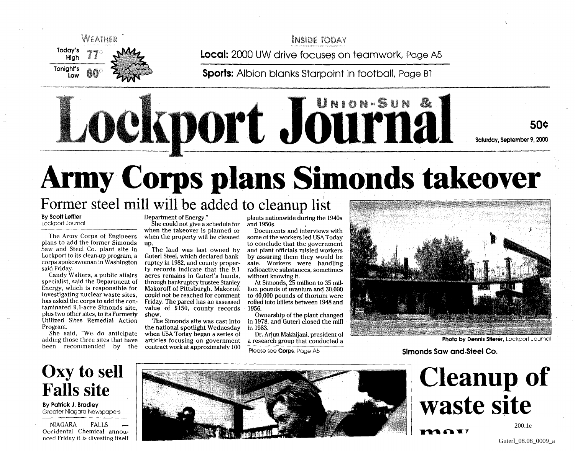

**INSIDE TODAY** 

**Local:** 2000 UW drive focuses on teamwork, Page A5

**Sports:** Albion blanks Starpoint in football, Page B1

50\$ Saturday, September 9,2000

# **Army Corps plans Simonds takeover** Former steel mill will be added to cleanup list

Lockport Jöürna

**By Scott Leffler** Lockport Journal

The Army Corps of Engineers plans to add the former Simonds Saw and Steel Co. plant site in Lockport to its clean-up program, a corps spokeswoman in Washington said Friday.

Candy Walters, a public affairs specialist, said the Department of Energy, which is responsible for investigating nuclear waste sites, has asked the corps to add the contaminated 9.1-acre Simonds site, plus two other sites, to its Formerly Utilized Sites Remedial Action Program.

She said, "We do anticipate adding those three sites that have been recommended by the

Department of Energy."

She could not give a schedule for when the takeover is planned or when the property will be cleaned up.

The land was last owned by Guterl Steel, which declared bankruptcy in 1982, and county property records indicate that the 9.1 acres remains in Guterl's hands, through bankruptcy trustee Stanley Makoroff of Pittsburgh. Makoroff could not be reached for comment Friday. The parcel has an assessed value of \$150, county records show.

The Simonds site was cast into the national spotlight Wednesday when USA Today began a series of articles focusing on government contract work at approximately 100

plants nationwide during the 1940s and 1950s.

Documents and interviews with some of the workers led USA Today to conclude that the government and plant officials misled workers by assuring them they would be safe. Workers were handling radioactive substances, sometimes without knowing it.

At Simonds, 25 million to 35 million pounds of uranium and 30,000 to 40,000 pounds of thorium were rolled into billets between 1948 and 1956.

Ownership of the plant changed in 1978, and Guterl closed the mill in 1983.

Dr. Arjun Makhijani, president of a research group that conducted a

Please see **Corps,** Page A5



**Photo by Dennis Stierer, Lockport Journal** 

Simonds Saw and Steel Co.

## Oxy to sell Falls site

**By Patrick J. Bradley** Greater Niagara Newspapers

NIAGARA FALLS — Occidental Chemical announced Friday it is divesting itself



**Cleanup of waste site**